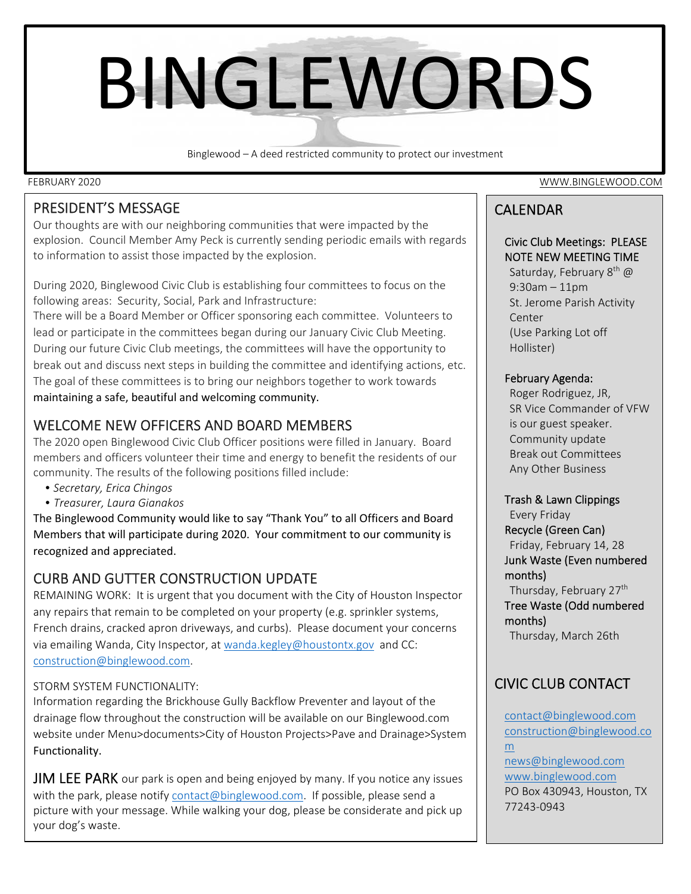# BINGLEWORDS

Binglewood – A deed restricted community to protect our investment

## PRESIDENT'S MESSAGE

Our thoughts are with our neighboring communities that were impacted by the explosion. Council Member Amy Peck is currently sending periodic emails with regards to information to assist those impacted by the explosion.

During 2020, Binglewood Civic Club is establishing four committees to focus on the following areas: Security, Social, Park and Infrastructure:

There will be a Board Member or Officer sponsoring each committee. Volunteers to lead or participate in the committees began during our January Civic Club Meeting. During our future Civic Club meetings, the committees will have the opportunity to break out and discuss next steps in building the committee and identifying actions, etc. The goal of these committees is to bring our neighbors together to work towards maintaining a safe, beautiful and welcoming community.

## WELCOME NEW OFFICERS AND BOARD MEMBERS

The 2020 open Binglewood Civic Club Officer positions were filled in January. Board members and officers volunteer their time and energy to benefit the residents of our community. The results of the following positions filled include:

- *Secretary, Erica Chingos*
- *Treasurer, Laura Gianakos*

The Binglewood Community would like to say "Thank You" to all Officers and Board Members that will participate during 2020. Your commitment to our community is recognized and appreciated.

## CURB AND GUTTER CONSTRUCTION UPDATE

REMAINING WORK: It is urgent that you document with the City of Houston Inspector any repairs that remain to be completed on your property (e.g. sprinkler systems, French drains, cracked apron driveways, and curbs). Please document your concerns via emailing Wanda, City Inspector, at wanda.kegley@houstontx.gov and CC: construction@binglewood.com.

#### STORM SYSTEM FUNCTIONALITY:

Information regarding the Brickhouse Gully Backflow Preventer and layout of the drainage flow throughout the construction will be available on our Binglewood.com website under Menu>documents>City of Houston Projects>Pave and Drainage>System Functionality.

JIM LEE PARK our park is open and being enjoyed by many. If you notice any issues with the park, please notify contact@binglewood.com. If possible, please send a picture with your message. While walking your dog, please be considerate and pick up your dog's waste.

FEBRUARY 2020 WWW.BINGLEWOOD.COM

## CALENDAR

#### Civic Club Meetings: PLEASE NOTE NEW MEETING TIME

Saturday, February 8<sup>th</sup> @ 9:30am – 11pm St. Jerome Parish Activity Center (Use Parking Lot off Hollister)

#### February Agenda:

Roger Rodriguez, JR, SR Vice Commander of VFW is our guest speaker. Community update Break out Committees Any Other Business

#### Trash & Lawn Clippings

Every Friday Recycle (Green Can) Friday, February 14, 28 Junk Waste (Even numbered months) Thursday, February 27<sup>th</sup> Tree Waste (Odd numbered months) Thursday, March 26th

# CIVIC CLUB CONTACT

 PO Box 430943, Houston, TX contact@binglewood.com construction@binglewood.co m news@binglewood.com www.binglewood.com 77243‐0943